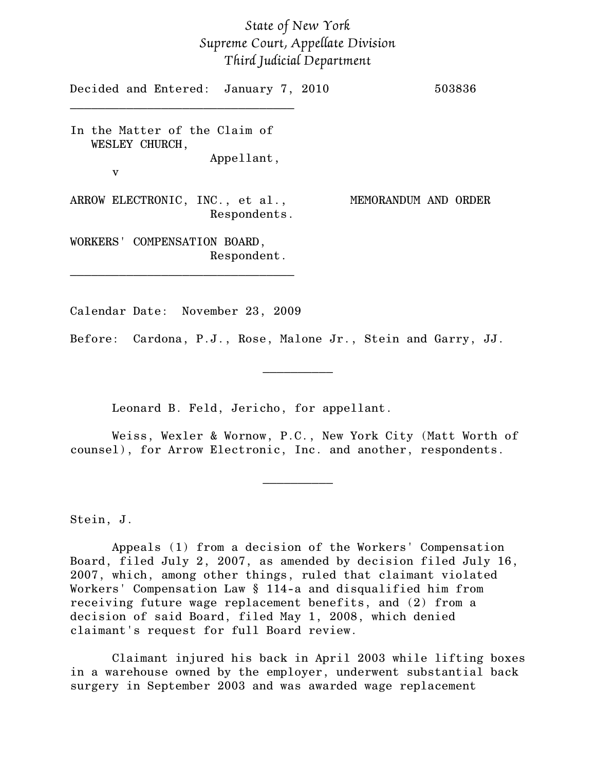## *State of New York Supreme Court, Appellate Division Third Judicial Department*

Decided and Entered: January 7, 2010 503836 \_\_\_\_\_\_\_\_\_\_\_\_\_\_\_\_\_\_\_\_\_\_\_\_\_\_\_\_\_\_\_\_ In the Matter of the Claim of WESLEY CHURCH, Appellant, v ARROW ELECTRONIC, INC., et al., MEMORANDUM AND ORDER Respondents. WORKERS' COMPENSATION BOARD, Respondent. \_\_\_\_\_\_\_\_\_\_\_\_\_\_\_\_\_\_\_\_\_\_\_\_\_\_\_\_\_\_\_\_

Calendar Date: November 23, 2009

Before: Cardona, P.J., Rose, Malone Jr., Stein and Garry, JJ.

 $\frac{1}{2}$ 

Leonard B. Feld, Jericho, for appellant.

Weiss, Wexler & Wornow, P.C., New York City (Matt Worth of counsel), for Arrow Electronic, Inc. and another, respondents.

 $\frac{1}{2}$ 

Stein, J.

Appeals (1) from a decision of the Workers' Compensation Board, filed July 2, 2007, as amended by decision filed July 16, 2007, which, among other things, ruled that claimant violated Workers' Compensation Law § 114-a and disqualified him from receiving future wage replacement benefits, and (2) from a decision of said Board, filed May 1, 2008, which denied claimant's request for full Board review.

Claimant injured his back in April 2003 while lifting boxes in a warehouse owned by the employer, underwent substantial back surgery in September 2003 and was awarded wage replacement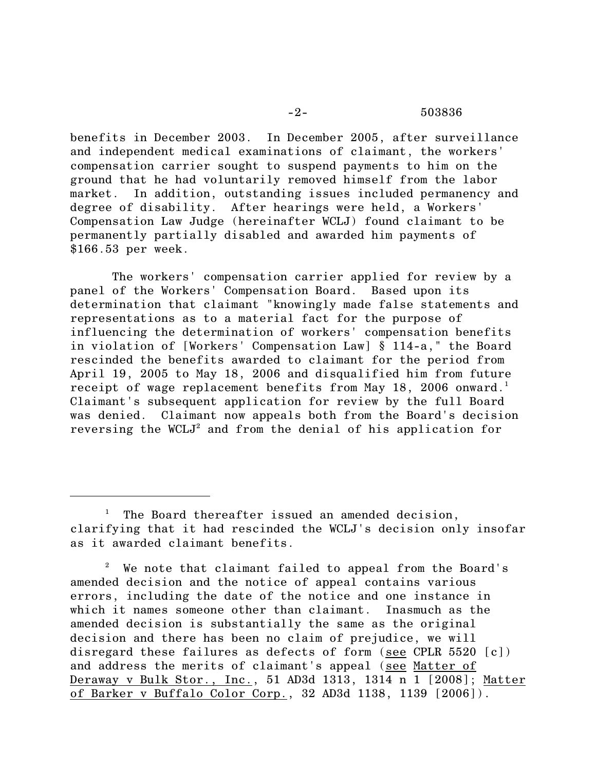## -2- 503836

benefits in December 2003. In December 2005, after surveillance and independent medical examinations of claimant, the workers' compensation carrier sought to suspend payments to him on the ground that he had voluntarily removed himself from the labor market. In addition, outstanding issues included permanency and degree of disability. After hearings were held, a Workers' Compensation Law Judge (hereinafter WCLJ) found claimant to be permanently partially disabled and awarded him payments of \$166.53 per week.

The workers' compensation carrier applied for review by a panel of the Workers' Compensation Board. Based upon its determination that claimant "knowingly made false statements and representations as to a material fact for the purpose of influencing the determination of workers' compensation benefits in violation of [Workers' Compensation Law] § 114-a," the Board rescinded the benefits awarded to claimant for the period from April 19, 2005 to May 18, 2006 and disqualified him from future receipt of wage replacement benefits from May 18, 2006 onward.<sup>1</sup> Claimant's subsequent application for review by the full Board was denied. Claimant now appeals both from the Board's decision reversing the WCL $J^2$  and from the denial of his application for

<sup>&</sup>lt;sup>1</sup> The Board thereafter issued an amended decision, clarifying that it had rescinded the WCLJ's decision only insofar as it awarded claimant benefits.

We note that claimant failed to appeal from the Board's amended decision and the notice of appeal contains various errors, including the date of the notice and one instance in which it names someone other than claimant. Inasmuch as the amended decision is substantially the same as the original decision and there has been no claim of prejudice, we will disregard these failures as defects of form (see CPLR 5520 [c]) and address the merits of claimant's appeal (see Matter of Deraway v Bulk Stor., Inc., 51 AD3d 1313, 1314 n 1 [2008]; Matter of Barker v Buffalo Color Corp., 32 AD3d 1138, 1139 [2006]).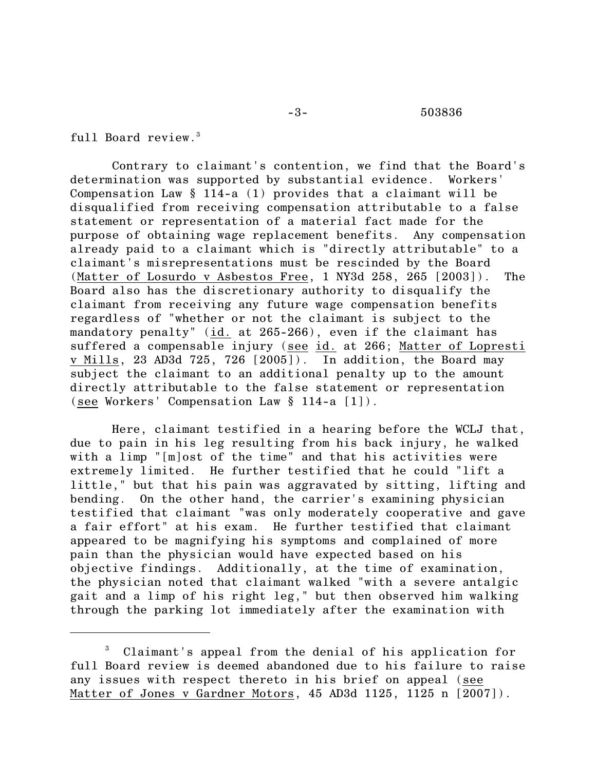## full Board review. 3

Contrary to claimant's contention, we find that the Board's determination was supported by substantial evidence. Workers' Compensation Law § 114-a (1) provides that a claimant will be disqualified from receiving compensation attributable to a false statement or representation of a material fact made for the purpose of obtaining wage replacement benefits. Any compensation already paid to a claimant which is "directly attributable" to a claimant's misrepresentations must be rescinded by the Board (Matter of Losurdo v Asbestos Free, 1 NY3d 258, 265 [2003]). The Board also has the discretionary authority to disqualify the claimant from receiving any future wage compensation benefits regardless of "whether or not the claimant is subject to the mandatory penalty" (id. at 265-266), even if the claimant has suffered a compensable injury (see id. at 266; Matter of Lopresti v Mills, 23 AD3d 725, 726 [2005]). In addition, the Board may subject the claimant to an additional penalty up to the amount directly attributable to the false statement or representation (see Workers' Compensation Law § 114-a [1]).

Here, claimant testified in a hearing before the WCLJ that, due to pain in his leg resulting from his back injury, he walked with a limp "[m]ost of the time" and that his activities were extremely limited. He further testified that he could "lift a little," but that his pain was aggravated by sitting, lifting and bending. On the other hand, the carrier's examining physician testified that claimant "was only moderately cooperative and gave a fair effort" at his exam. He further testified that claimant appeared to be magnifying his symptoms and complained of more pain than the physician would have expected based on his objective findings. Additionally, at the time of examination, the physician noted that claimant walked "with a severe antalgic gait and a limp of his right leg," but then observed him walking through the parking lot immediately after the examination with

<sup>&</sup>lt;sup>3</sup> Claimant's appeal from the denial of his application for full Board review is deemed abandoned due to his failure to raise any issues with respect thereto in his brief on appeal (see Matter of Jones v Gardner Motors, 45 AD3d 1125, 1125 n [2007]).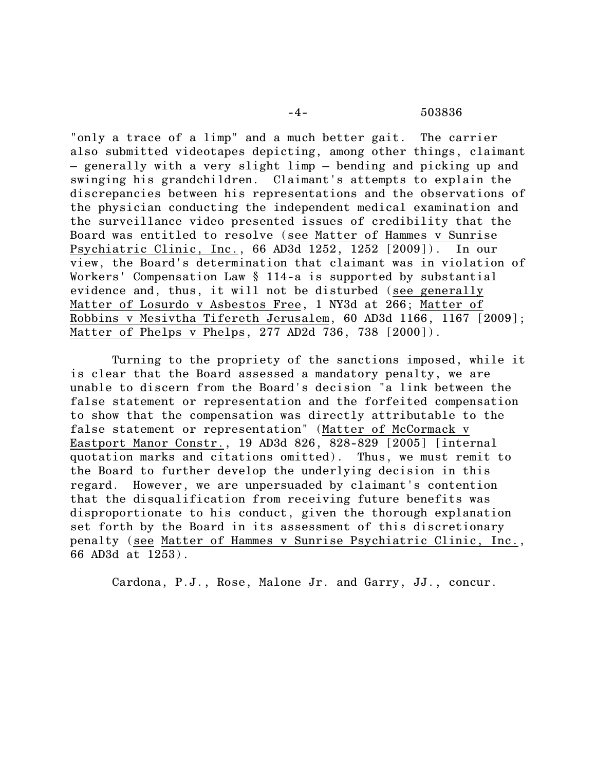## -4- 503836

"only a trace of a limp" and a much better gait. The carrier also submitted videotapes depicting, among other things, claimant – generally with a very slight limp – bending and picking up and swinging his grandchildren. Claimant's attempts to explain the discrepancies between his representations and the observations of the physician conducting the independent medical examination and the surveillance video presented issues of credibility that the Board was entitled to resolve (see Matter of Hammes v Sunrise Psychiatric Clinic, Inc., 66 AD3d 1252, 1252 [2009]). In our view, the Board's determination that claimant was in violation of Workers' Compensation Law § 114-a is supported by substantial evidence and, thus, it will not be disturbed (see generally Matter of Losurdo v Asbestos Free, 1 NY3d at 266; Matter of Robbins v Mesivtha Tifereth Jerusalem, 60 AD3d 1166, 1167 [2009]; Matter of Phelps v Phelps, 277 AD2d 736, 738 [2000]).

Turning to the propriety of the sanctions imposed, while it is clear that the Board assessed a mandatory penalty, we are unable to discern from the Board's decision "a link between the false statement or representation and the forfeited compensation to show that the compensation was directly attributable to the false statement or representation" (Matter of McCormack v Eastport Manor Constr., 19 AD3d 826, 828-829 [2005] [internal quotation marks and citations omitted). Thus, we must remit to the Board to further develop the underlying decision in this regard. However, we are unpersuaded by claimant's contention that the disqualification from receiving future benefits was disproportionate to his conduct, given the thorough explanation set forth by the Board in its assessment of this discretionary penalty (see Matter of Hammes v Sunrise Psychiatric Clinic, Inc., 66 AD3d at 1253).

Cardona, P.J., Rose, Malone Jr. and Garry, JJ., concur.